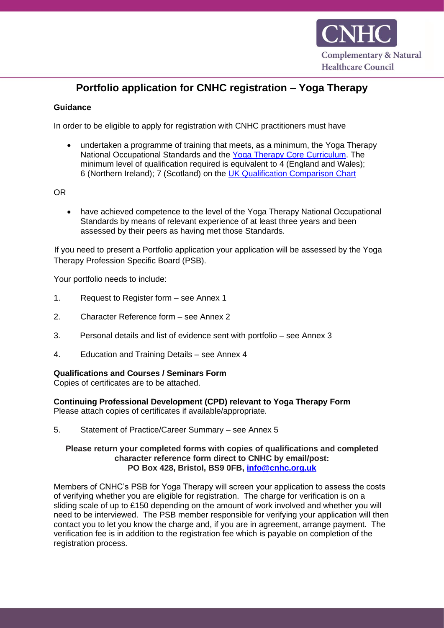

# **Portfolio application for CNHC registration – Yoga Therapy**

### **Guidance**

In order to be eligible to apply for registration with CNHC practitioners must have

• undertaken a programme of training that meets, as a minimum, the Yoga Therapy National Occupational Standards and the [Yoga Therapy Core Curriculum.](https://www.cnhc.org.uk/sites/default/files/Downloads/Yoga-Therapy-core-curriculum.pdf) The minimum level of qualification required is equivalent to 4 (England and Wales); 6 (Northern Ireland); 7 (Scotland) on the [UK Qualification Comparison Chart](http://eal.org.uk/support/document-library/7-uk-qualifications-comparison-table/file)

OR

• have achieved competence to the level of the Yoga Therapy National Occupational Standards by means of relevant experience of at least three years and been assessed by their peers as having met those Standards.

If you need to present a Portfolio application your application will be assessed by the Yoga Therapy Profession Specific Board (PSB).

Your portfolio needs to include:

- 1. Request to Register form see Annex 1
- 2. Character Reference form see Annex 2
- 3. Personal details and list of evidence sent with portfolio see Annex 3
- 4. Education and Training Details see Annex 4

#### **Qualifications and Courses / Seminars Form**

Copies of certificates are to be attached.

**Continuing Professional Development (CPD) relevant to Yoga Therapy Form**

Please attach copies of certificates if available/appropriate.

5. Statement of Practice/Career Summary – see Annex 5

### **Please return your completed forms with copies of qualifications and completed character reference form direct to CNHC by email/post: PO Box 428, Bristol, BS9 0FB, [info@cnhc.org.uk](mailto:info@cnhc.org.uk)**

Members of CNHC's PSB for Yoga Therapy will screen your application to assess the costs of verifying whether you are eligible for registration. The charge for verification is on a sliding scale of up to £150 depending on the amount of work involved and whether you will need to be interviewed. The PSB member responsible for verifying your application will then contact you to let you know the charge and, if you are in agreement, arrange payment. The verification fee is in addition to the registration fee which is payable on completion of the registration process.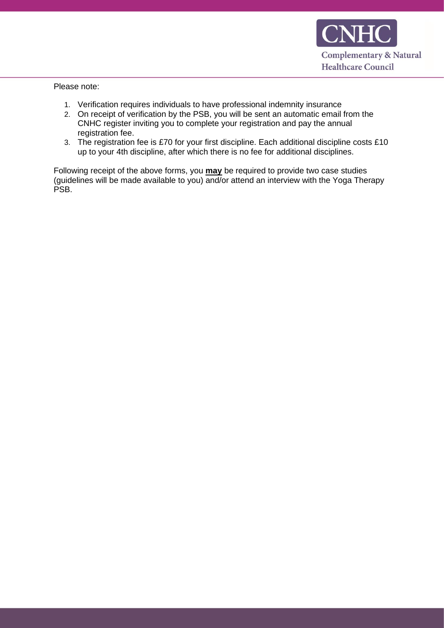

Please note:

- 1. Verification requires individuals to have professional indemnity insurance
- 2. On receipt of verification by the PSB, you will be sent an automatic email from the CNHC register inviting you to complete your registration and pay the annual registration fee.
- 3. The registration fee is £70 for your first discipline. Each additional discipline costs £10 up to your 4th discipline, after which there is no fee for additional disciplines.

Following receipt of the above forms, you **may** be required to provide two case studies (guidelines will be made available to you) and/or attend an interview with the Yoga Therapy PSB.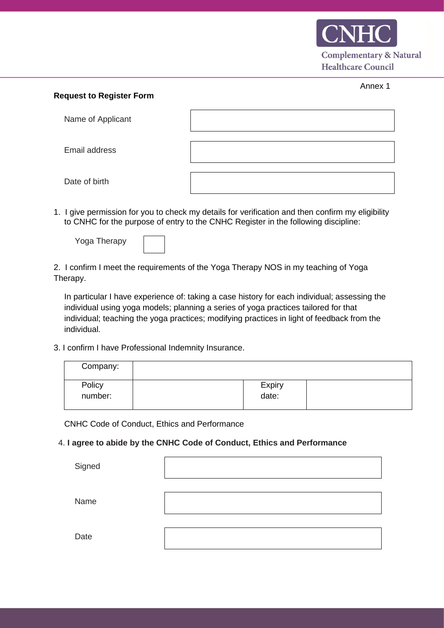

#### **Request to Register Form**

| Name of Applicant |  |
|-------------------|--|
| Email address     |  |
| Date of birth     |  |

1. I give permission for you to check my details for verification and then confirm my eligibility to CNHC for the purpose of entry to the CNHC Register in the following discipline:

| Yoga Therapy |  |
|--------------|--|
|--------------|--|

2. I confirm I meet the requirements of the Yoga Therapy NOS in my teaching of Yoga Therapy.

In particular I have experience of: taking a case history for each individual; assessing the individual using yoga models; planning a series of yoga practices tailored for that individual; teaching the yoga practices; modifying practices in light of feedback from the individual.

3. I confirm I have Professional Indemnity Insurance.

| Company: |        |  |
|----------|--------|--|
| Policy   | Expiry |  |
| number:  | date:  |  |

CNHC Code of Conduct, Ethics and Performance

### 4. **I agree to abide by the CNHC Code of Conduct, Ethics and Performance**

**Signed** 

Name

**Date**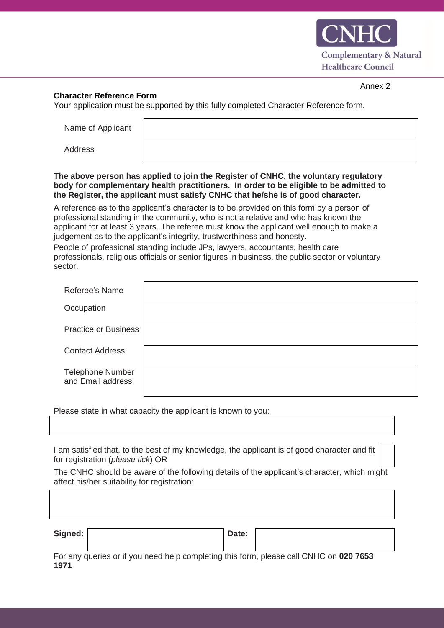

### **Character Reference Form**

Your application must be supported by this fully completed Character Reference form.

Name of Applicant

Address

### **The above person has applied to join the Register of CNHC, the voluntary regulatory body for complementary health practitioners. In order to be eligible to be admitted to the Register, the applicant must satisfy CNHC that he/she is of good character.**

A reference as to the applicant's character is to be provided on this form by a person of professional standing in the community, who is not a relative and who has known the applicant for at least 3 years. The referee must know the applicant well enough to make a judgement as to the applicant's integrity, trustworthiness and honesty.

People of professional standing include JPs, lawyers, accountants, health care professionals, religious officials or senior figures in business, the public sector or voluntary sector.

| Referee's Name                               |  |
|----------------------------------------------|--|
| Occupation                                   |  |
| <b>Practice or Business</b>                  |  |
| <b>Contact Address</b>                       |  |
| <b>Telephone Number</b><br>and Email address |  |

Please state in what capacity the applicant is known to you:

I am satisfied that, to the best of my knowledge, the applicant is of good character and fit for registration (*please tick*) OR

The CNHC should be aware of the following details of the applicant's character, which might affect his/her suitability for registration:

| Signed: |                                                                                              | Date: |  |
|---------|----------------------------------------------------------------------------------------------|-------|--|
|         | For any queries or if you need help completing this form please call CNHC on <b>020 7653</b> |       |  |

For any queries or if you need help completing this form, please call CNHC on **020 7653 1971**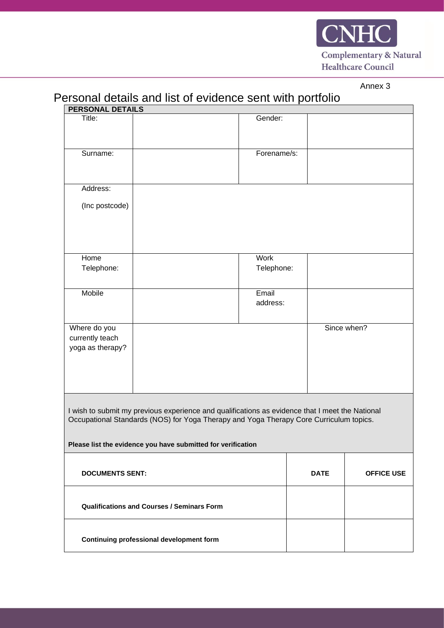

# Personal details and list of evidence sent with portfolio

| <b>PERSONAL DETAILS</b>                           |                                                                                                 |                   |                   |             |
|---------------------------------------------------|-------------------------------------------------------------------------------------------------|-------------------|-------------------|-------------|
| Title:                                            |                                                                                                 | Gender:           |                   |             |
|                                                   |                                                                                                 |                   |                   |             |
|                                                   |                                                                                                 |                   |                   |             |
| Surname:                                          |                                                                                                 | Forename/s:       |                   |             |
|                                                   |                                                                                                 |                   |                   |             |
| Address:                                          |                                                                                                 |                   |                   |             |
| (Inc postcode)                                    |                                                                                                 |                   |                   |             |
|                                                   |                                                                                                 |                   |                   |             |
|                                                   |                                                                                                 |                   |                   |             |
|                                                   |                                                                                                 |                   |                   |             |
| Home                                              |                                                                                                 | Work              |                   |             |
| Telephone:                                        |                                                                                                 | Telephone:        |                   |             |
|                                                   |                                                                                                 |                   |                   |             |
| Mobile                                            |                                                                                                 | Email<br>address: |                   |             |
|                                                   |                                                                                                 |                   |                   |             |
| Where do you                                      |                                                                                                 |                   |                   | Since when? |
| currently teach                                   |                                                                                                 |                   |                   |             |
| yoga as therapy?                                  |                                                                                                 |                   |                   |             |
|                                                   |                                                                                                 |                   |                   |             |
|                                                   |                                                                                                 |                   |                   |             |
|                                                   |                                                                                                 |                   |                   |             |
|                                                   | I wish to submit my previous experience and qualifications as evidence that I meet the National |                   |                   |             |
|                                                   | Occupational Standards (NOS) for Yoga Therapy and Yoga Therapy Core Curriculum topics.          |                   |                   |             |
|                                                   |                                                                                                 |                   |                   |             |
|                                                   | Please list the evidence you have submitted for verification                                    |                   |                   |             |
|                                                   |                                                                                                 |                   |                   |             |
| <b>DOCUMENTS SENT:</b>                            |                                                                                                 | <b>DATE</b>       | <b>OFFICE USE</b> |             |
|                                                   |                                                                                                 |                   |                   |             |
| <b>Qualifications and Courses / Seminars Form</b> |                                                                                                 |                   |                   |             |
|                                                   |                                                                                                 |                   |                   |             |
|                                                   |                                                                                                 |                   |                   |             |
| Continuing professional development form          |                                                                                                 |                   |                   |             |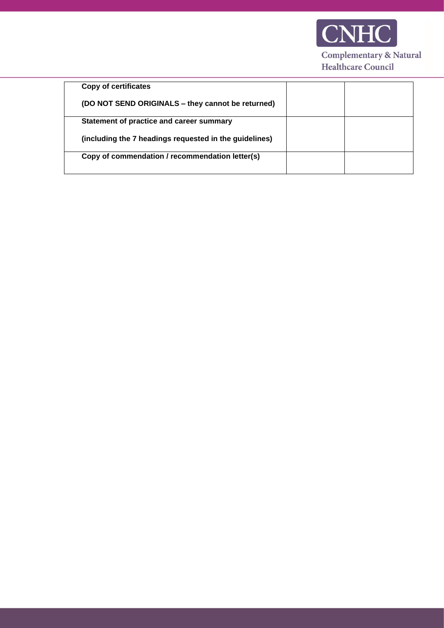

| <b>Copy of certificates</b>                            |  |
|--------------------------------------------------------|--|
| (DO NOT SEND ORIGINALS - they cannot be returned)      |  |
| Statement of practice and career summary               |  |
| (including the 7 headings requested in the guidelines) |  |
| Copy of commendation / recommendation letter(s)        |  |
|                                                        |  |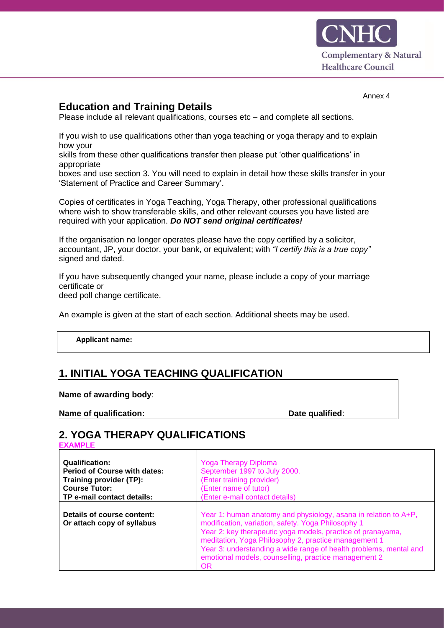

## **Education and Training Details**

Please include all relevant qualifications, courses etc – and complete all sections.

If you wish to use qualifications other than yoga teaching or yoga therapy and to explain how your

skills from these other qualifications transfer then please put 'other qualifications' in appropriate

boxes and use section 3. You will need to explain in detail how these skills transfer in your 'Statement of Practice and Career Summary'.

Copies of certificates in Yoga Teaching, Yoga Therapy, other professional qualifications where wish to show transferable skills, and other relevant courses you have listed are required with your application. *Do NOT send original certificates!* 

If the organisation no longer operates please have the copy certified by a solicitor, accountant, JP, your doctor, your bank, or equivalent; with *"I certify this is a true copy"*  signed and dated.

If you have subsequently changed your name, please include a copy of your marriage certificate or

deed poll change certificate.

An example is given at the start of each section. Additional sheets may be used.

**Applicant name:**

### **1. INITIAL YOGA TEACHING QUALIFICATION :**

**Name of awarding body**:

**Name of qualification:**  $\qquad \qquad$  **Date qualified:** 

# **2. YOGA THERAPY QUALIFICATIONS**

**EXAMPLE**

| <b>Qualification:</b>                                    | <b>Yoga Therapy Diploma</b>                                                                                                                                                                                                                                                                                                                                                            |
|----------------------------------------------------------|----------------------------------------------------------------------------------------------------------------------------------------------------------------------------------------------------------------------------------------------------------------------------------------------------------------------------------------------------------------------------------------|
| <b>Period of Course with dates:</b>                      | September 1997 to July 2000.                                                                                                                                                                                                                                                                                                                                                           |
| Training provider (TP):                                  | (Enter training provider)                                                                                                                                                                                                                                                                                                                                                              |
| <b>Course Tutor:</b>                                     | (Enter name of tutor)                                                                                                                                                                                                                                                                                                                                                                  |
| TP e-mail contact details:                               | (Enter e-mail contact details)                                                                                                                                                                                                                                                                                                                                                         |
| Details of course content:<br>Or attach copy of syllabus | Year 1: human anatomy and physiology, asana in relation to A+P,<br>modification, variation, safety. Yoga Philosophy 1<br>Year 2: key therapeutic yoga models, practice of pranayama,<br>meditation, Yoga Philosophy 2, practice management 1<br>Year 3: understanding a wide range of health problems, mental and<br>emotional models, counselling, practice management 2<br><b>OR</b> |

Annex 4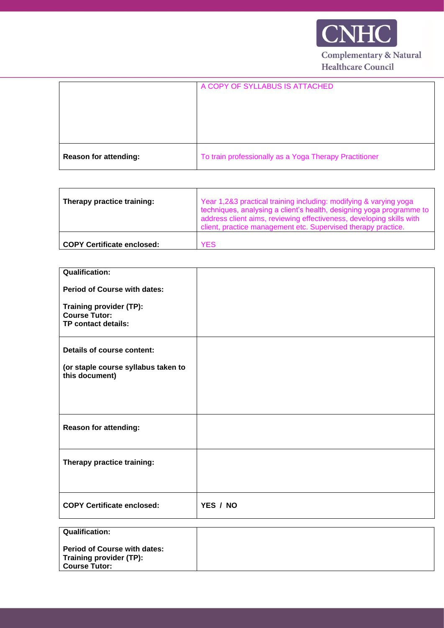

|                              | A COPY OF SYLLABUS IS ATTACHED                         |
|------------------------------|--------------------------------------------------------|
| <b>Reason for attending:</b> | To train professionally as a Yoga Therapy Practitioner |

| Therapy practice training:        | Year 1,2&3 practical training including: modifying & varying yoga<br>techniques, analysing a client's health, designing yoga programme to<br>address client aims, reviewing effectiveness, developing skills with<br>client, practice management etc. Supervised therapy practice. |
|-----------------------------------|------------------------------------------------------------------------------------------------------------------------------------------------------------------------------------------------------------------------------------------------------------------------------------|
| <b>COPY Certificate enclosed:</b> | YFS                                                                                                                                                                                                                                                                                |

| <b>Qualification:</b>                                 |          |
|-------------------------------------------------------|----------|
| <b>Period of Course with dates:</b>                   |          |
| Training provider (TP):                               |          |
| <b>Course Tutor:</b><br>TP contact details:           |          |
|                                                       |          |
| <b>Details of course content:</b>                     |          |
|                                                       |          |
| (or staple course syllabus taken to<br>this document) |          |
|                                                       |          |
|                                                       |          |
|                                                       |          |
| <b>Reason for attending:</b>                          |          |
|                                                       |          |
|                                                       |          |
| Therapy practice training:                            |          |
|                                                       |          |
|                                                       |          |
| <b>COPY Certificate enclosed:</b>                     | YES / NO |
|                                                       |          |
| <b>Qualification:</b>                                 |          |
|                                                       |          |
| <b>Period of Course with dates:</b>                   |          |

**Training provider (TP): Course Tutor:**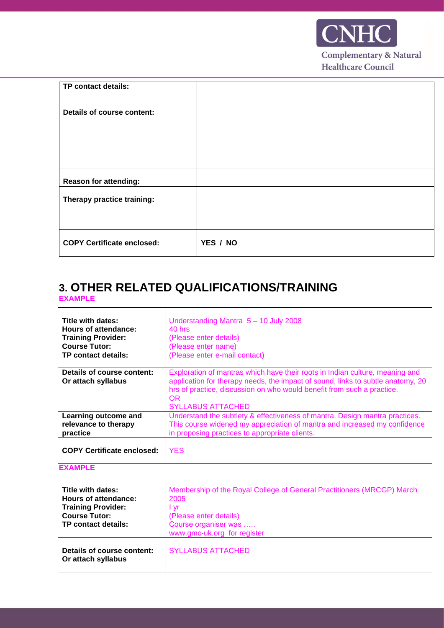

| YES / NO |
|----------|
|          |

# **3. OTHER RELATED QUALIFICATIONS/TRAINING EXAMPLE**

| Title with dates:                                | Understanding Mantra $5 - 10$ July 2008                                                                                                                                                                                                                                      |
|--------------------------------------------------|------------------------------------------------------------------------------------------------------------------------------------------------------------------------------------------------------------------------------------------------------------------------------|
| Hours of attendance:                             | $40$ hrs                                                                                                                                                                                                                                                                     |
| <b>Training Provider:</b>                        | (Please enter details)                                                                                                                                                                                                                                                       |
| <b>Course Tutor:</b>                             | (Please enter name)                                                                                                                                                                                                                                                          |
| TP contact details:                              | (Please enter e-mail contact)                                                                                                                                                                                                                                                |
| Details of course content:<br>Or attach syllabus | Exploration of mantras which have their roots in Indian culture, meaning and<br>application for therapy needs, the impact of sound, links to subtle anatomy, 20<br>hrs of practice, discussion on who would benefit from such a practice.<br>OR.<br><b>SYLLABUS ATTACHED</b> |
| Learning outcome and                             | Understand the subtlety & effectiveness of mantra. Design mantra practices.                                                                                                                                                                                                  |
| relevance to therapy                             | This course widened my appreciation of mantra and increased my confidence                                                                                                                                                                                                    |
| practice                                         | in proposing practices to appropriate clients.                                                                                                                                                                                                                               |
| <b>COPY Certificate enclosed:</b>                | <b>YES</b>                                                                                                                                                                                                                                                                   |

## **EXAMPLE**

 $\mathbf{r}$ 

 $\mathbf{r}$ 

| Title with dates:<br>Hours of attendance:<br><b>Training Provider:</b><br><b>Course Tutor:</b><br>TP contact details: | Membership of the Royal College of General Practitioners (MRCGP) March<br>2005<br>l vr<br>(Please enter details)<br>Course organiser was<br>www.gmc-uk.org for register |
|-----------------------------------------------------------------------------------------------------------------------|-------------------------------------------------------------------------------------------------------------------------------------------------------------------------|
| Details of course content:<br>Or attach syllabus                                                                      | <b>SYLLABUS ATTACHED</b>                                                                                                                                                |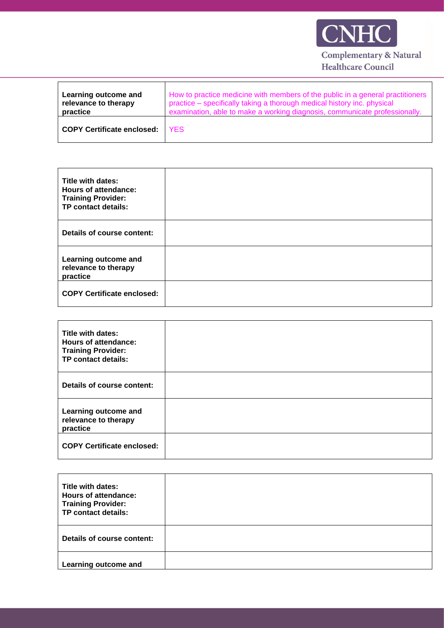

| Learning outcome and<br>relevance to therapy<br>practice | How to practice medicine with members of the public in a general practitioners<br>practice - specifically taking a thorough medical history inc. physical<br>examination, able to make a working diagnosis, communicate professionally. |
|----------------------------------------------------------|-----------------------------------------------------------------------------------------------------------------------------------------------------------------------------------------------------------------------------------------|
| <b>COPY Certificate enclosed:</b>                        | <b>YFS</b>                                                                                                                                                                                                                              |

| Title with dates:<br><b>Hours of attendance:</b><br><b>Training Provider:</b><br>TP contact details: |  |
|------------------------------------------------------------------------------------------------------|--|
| Details of course content:                                                                           |  |
| Learning outcome and<br>relevance to therapy<br>practice                                             |  |
| <b>COPY Certificate enclosed:</b>                                                                    |  |

| Title with dates:<br>Hours of attendance:<br><b>Training Provider:</b><br>TP contact details: |  |
|-----------------------------------------------------------------------------------------------|--|
| Details of course content:                                                                    |  |
| Learning outcome and<br>relevance to therapy<br>practice                                      |  |
| <b>COPY Certificate enclosed:</b>                                                             |  |

| Title with dates:<br><b>Hours of attendance:</b><br><b>Training Provider:</b><br>TP contact details: |  |
|------------------------------------------------------------------------------------------------------|--|
| Details of course content:                                                                           |  |
| Learning outcome and                                                                                 |  |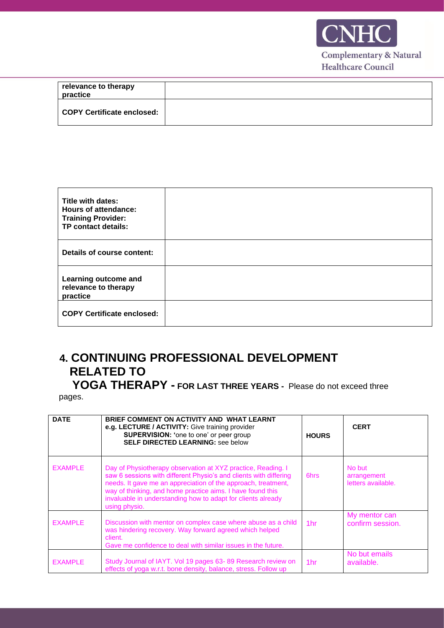

| relevance to therapy<br>practice |  |
|----------------------------------|--|
| COPY Certificate enclosed:       |  |

| Title with dates:<br><b>Hours of attendance:</b><br><b>Training Provider:</b><br>TP contact details: |  |
|------------------------------------------------------------------------------------------------------|--|
| Details of course content:                                                                           |  |
| Learning outcome and<br>relevance to therapy<br>practice                                             |  |
| <b>COPY Certificate enclosed:</b>                                                                    |  |

# **4. CONTINUING PROFESSIONAL DEVELOPMENT RELATED TO**

 **YOGA THERAPY - FOR LAST THREE YEARS -** Please do not exceed three pages.

| <b>DATE</b>    | BRIEF COMMENT ON ACTIVITY AND WHAT LEARNT<br>e.g. LECTURE / ACTIVITY: Give training provider<br><b>SUPERVISION:</b> 'one to one' or peer group<br><b>SELF DIRECTED LEARNING: see below</b>                                                                                                                                                        | <b>HOURS</b>    | <b>CERT</b>                                 |
|----------------|---------------------------------------------------------------------------------------------------------------------------------------------------------------------------------------------------------------------------------------------------------------------------------------------------------------------------------------------------|-----------------|---------------------------------------------|
| <b>EXAMPLE</b> | Day of Physiotherapy observation at XYZ practice, Reading. I<br>saw 6 sessions with different Physio's and clients with differing<br>needs. It gave me an appreciation of the approach, treatment,<br>way of thinking, and home practice aims. I have found this<br>invaluable in understanding how to adapt for clients already<br>using physio. | 6hrs            | No but<br>arrangement<br>letters available. |
| <b>EXAMPLE</b> | Discussion with mentor on complex case where abuse as a child<br>was hindering recovery. Way forward agreed which helped<br>client.<br>Gave me confidence to deal with similar issues in the future.                                                                                                                                              | 1 <sub>hr</sub> | My mentor can<br>confirm session.           |
| <b>EXAMPLE</b> | Study Journal of IAYT. Vol 19 pages 63-89 Research review on<br>effects of yoga w.r.t. bone density, balance, stress. Follow up                                                                                                                                                                                                                   | 1 <sub>hr</sub> | No but emails<br>available.                 |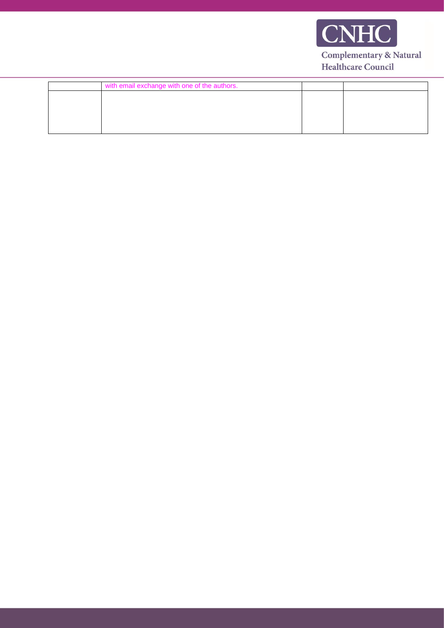

| with email exchange with one of the authors. |  |
|----------------------------------------------|--|
|                                              |  |
|                                              |  |
|                                              |  |
|                                              |  |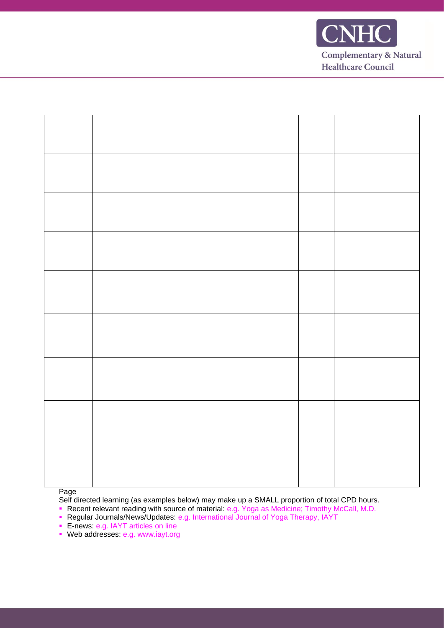

Page

Self directed learning (as examples below) may make up a SMALL proportion of total CPD hours.

- Recent relevant reading with source of material: e.g. Yoga as Medicine; Timothy McCall, M.D.
- Regular Journals/News/Updates: e.g. International Journal of Yoga Therapy, IAYT
- **E-news: e.g. IAYT articles on line**
- Web addresses: e.g. www.iayt.org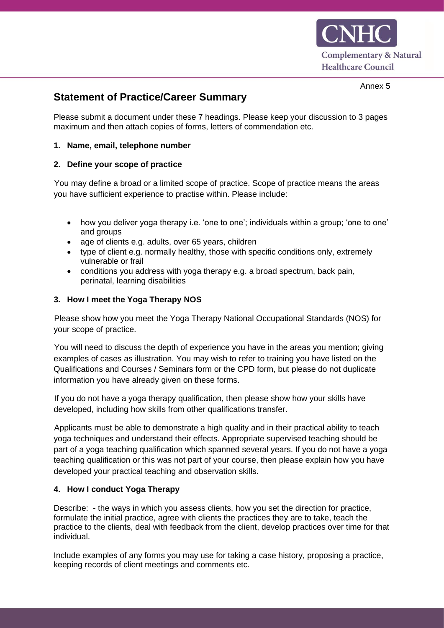

# **Statement of Practice/Career Summary**

Please submit a document under these 7 headings. Please keep your discussion to 3 pages maximum and then attach copies of forms, letters of commendation etc.

### **1. Name, email, telephone number**

### **2. Define your scope of practice**

You may define a broad or a limited scope of practice. Scope of practice means the areas you have sufficient experience to practise within. Please include:

- how you deliver yoga therapy i.e. 'one to one'; individuals within a group; 'one to one' and groups
- age of clients e.g. adults, over 65 years, children
- type of client e.g. normally healthy, those with specific conditions only, extremely vulnerable or frail
- conditions you address with yoga therapy e.g. a broad spectrum, back pain, perinatal, learning disabilities

### **3. How I meet the Yoga Therapy NOS**

Please show how you meet the Yoga Therapy National Occupational Standards (NOS) for your scope of practice.

You will need to discuss the depth of experience you have in the areas you mention; giving examples of cases as illustration. You may wish to refer to training you have listed on the Qualifications and Courses / Seminars form or the CPD form, but please do not duplicate information you have already given on these forms.

If you do not have a yoga therapy qualification, then please show how your skills have developed, including how skills from other qualifications transfer.

Applicants must be able to demonstrate a high quality and in their practical ability to teach yoga techniques and understand their effects. Appropriate supervised teaching should be part of a yoga teaching qualification which spanned several years. If you do not have a yoga teaching qualification or this was not part of your course, then please explain how you have developed your practical teaching and observation skills.

### **4. How I conduct Yoga Therapy**

Describe: - the ways in which you assess clients, how you set the direction for practice, formulate the initial practice, agree with clients the practices they are to take, teach the practice to the clients, deal with feedback from the client, develop practices over time for that individual.

Include examples of any forms you may use for taking a case history, proposing a practice, keeping records of client meetings and comments etc.